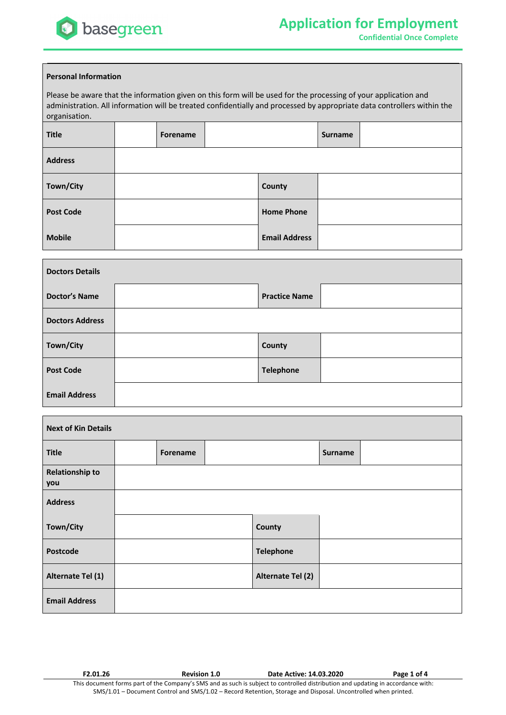

**Confidential Once Complete**

## **Personal Information**

Please be aware that the information given on this form will be used for the processing of your application and administration. All information will be treated confidentially and processed by appropriate data controllers within the organisation.

| <b>Title</b>     | Forename |                      | <b>Surname</b> |  |
|------------------|----------|----------------------|----------------|--|
| <b>Address</b>   |          |                      |                |  |
| Town/City        |          | County               |                |  |
| <b>Post Code</b> |          | <b>Home Phone</b>    |                |  |
| <b>Mobile</b>    |          | <b>Email Address</b> |                |  |

| <b>Doctors Details</b> |  |                      |  |  |
|------------------------|--|----------------------|--|--|
| <b>Doctor's Name</b>   |  | <b>Practice Name</b> |  |  |
| <b>Doctors Address</b> |  |                      |  |  |
| Town/City              |  | County               |  |  |
| <b>Post Code</b>       |  | <b>Telephone</b>     |  |  |
| <b>Email Address</b>   |  |                      |  |  |

| <b>Next of Kin Details</b>    |          |                   |                |  |
|-------------------------------|----------|-------------------|----------------|--|
| <b>Title</b>                  | Forename |                   | <b>Surname</b> |  |
| <b>Relationship to</b><br>you |          |                   |                |  |
| <b>Address</b>                |          |                   |                |  |
| Town/City                     |          | County            |                |  |
| Postcode                      |          | <b>Telephone</b>  |                |  |
| Alternate Tel (1)             |          | Alternate Tel (2) |                |  |
| <b>Email Address</b>          |          |                   |                |  |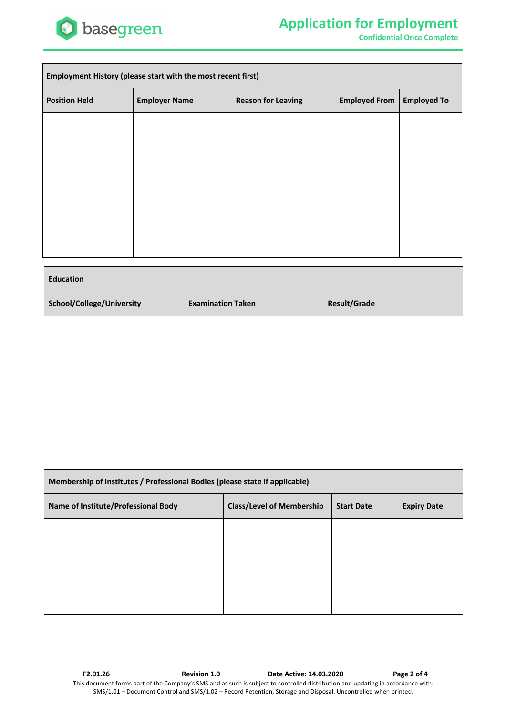

**Confidential Once Complete**

| Employment History (please start with the most recent first) |                                                                                                 |  |  |  |  |
|--------------------------------------------------------------|-------------------------------------------------------------------------------------------------|--|--|--|--|
| <b>Position Held</b>                                         | <b>Employed From</b><br><b>Employer Name</b><br><b>Reason for Leaving</b><br><b>Employed To</b> |  |  |  |  |
|                                                              |                                                                                                 |  |  |  |  |
|                                                              |                                                                                                 |  |  |  |  |
|                                                              |                                                                                                 |  |  |  |  |
|                                                              |                                                                                                 |  |  |  |  |
|                                                              |                                                                                                 |  |  |  |  |
|                                                              |                                                                                                 |  |  |  |  |

| <b>Education</b>          |                          |                     |  |  |  |
|---------------------------|--------------------------|---------------------|--|--|--|
| School/College/University | <b>Examination Taken</b> | <b>Result/Grade</b> |  |  |  |
|                           |                          |                     |  |  |  |
|                           |                          |                     |  |  |  |
|                           |                          |                     |  |  |  |
|                           |                          |                     |  |  |  |
|                           |                          |                     |  |  |  |
|                           |                          |                     |  |  |  |

| Membership of Institutes / Professional Bodies (please state if applicable) |                                  |                   |                    |  |  |
|-----------------------------------------------------------------------------|----------------------------------|-------------------|--------------------|--|--|
| Name of Institute/Professional Body                                         | <b>Class/Level of Membership</b> | <b>Start Date</b> | <b>Expiry Date</b> |  |  |
|                                                                             |                                  |                   |                    |  |  |
|                                                                             |                                  |                   |                    |  |  |
|                                                                             |                                  |                   |                    |  |  |
|                                                                             |                                  |                   |                    |  |  |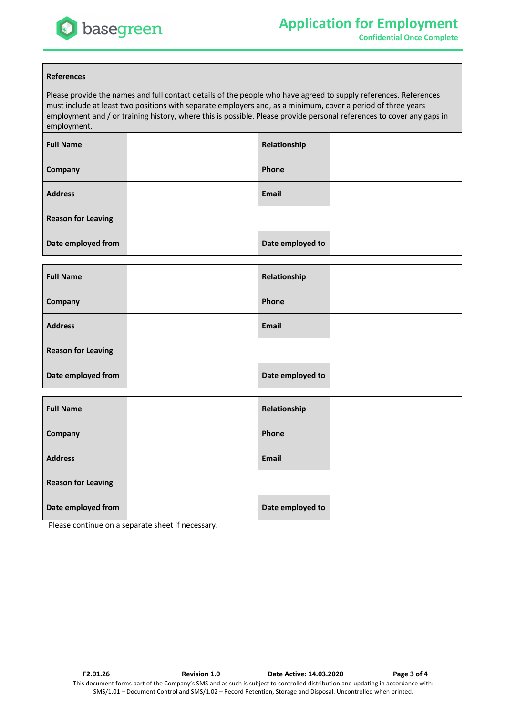

## **References**

Please provide the names and full contact details of the people who have agreed to supply references. References must include at least two positions with separate employers and, as a minimum, cover a period of three years employment and / or training history, where this is possible. Please provide personal references to cover any gaps in employment.

| <b>Full Name</b>          | Relationship     |  |
|---------------------------|------------------|--|
| Company                   | Phone            |  |
| <b>Address</b>            | Email            |  |
| <b>Reason for Leaving</b> |                  |  |
| Date employed from        | Date employed to |  |

| <b>Full Name</b>          | Relationship     |  |
|---------------------------|------------------|--|
| Company                   | Phone            |  |
| <b>Address</b>            | <b>Email</b>     |  |
| <b>Reason for Leaving</b> |                  |  |
| Date employed from        | Date employed to |  |

| <b>Full Name</b>          | Relationship     |  |
|---------------------------|------------------|--|
| Company                   | Phone            |  |
| <b>Address</b>            | <b>Email</b>     |  |
| <b>Reason for Leaving</b> |                  |  |
| Date employed from        | Date employed to |  |

Please continue on a separate sheet if necessary.